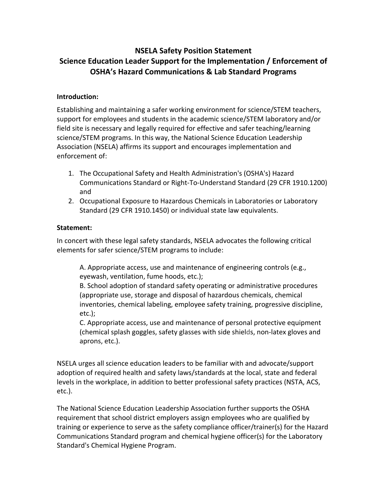# **NSELA Safety Position Statement Science Education Leader Support for the Implementation / Enforcement of OSHA's Hazard Communications & Lab Standard Programs**

### **Introduction:**

Establishing and maintaining a safer working environment for science/STEM teachers, support for employees and students in the academic science/STEM laboratory and/or field site is necessary and legally required for effective and safer teaching/learning science/STEM programs. In this way, the National Science Education Leadership Association (NSELA) affirms its support and encourages implementation and enforcement of:

- 1. The Occupational Safety and Health Administration's (OSHA's) Hazard Communications Standard or Right-To-Understand Standard (29 CFR 1910.1200) and
- 2. Occupational Exposure to Hazardous Chemicals in Laboratories or Laboratory Standard (29 CFR 1910.1450) or individual state law equivalents.

#### **Statement:**

In concert with these legal safety standards, NSELA advocates the following critical elements for safer science/STEM programs to include:

A. Appropriate access, use and maintenance of engineering controls (e.g., eyewash, ventilation, fume hoods, etc.);

B. School adoption of standard safety operating or administrative procedures (appropriate use, storage and disposal of hazardous chemicals, chemical inventories, chemical labeling, employee safety training, progressive discipline, etc.);

C. Appropriate access, use and maintenance of personal protective equipment (chemical splash goggles, safety glasses with side shields, non-latex gloves and aprons, etc.).

NSELA urges all science education leaders to be familiar with and advocate/support adoption of required health and safety laws/standards at the local, state and federal levels in the workplace, in addition to better professional safety practices (NSTA, ACS, etc.).

The National Science Education Leadership Association further supports the OSHA requirement that school district employers assign employees who are qualified by training or experience to serve as the safety compliance officer/trainer(s) for the Hazard Communications Standard program and chemical hygiene officer(s) for the Laboratory Standard's Chemical Hygiene Program.